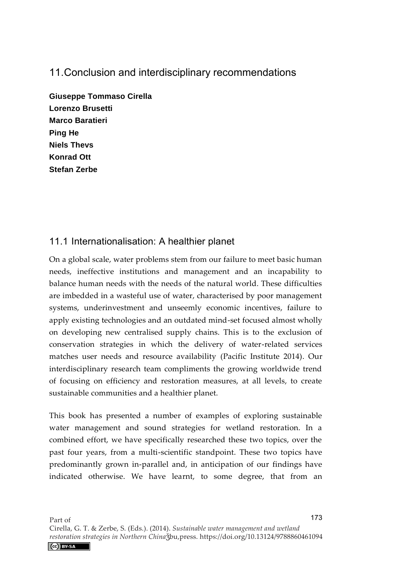# 11. Conclusion and interdisciplinary recommendations

**Giuseppe Tommaso Cirella Lorenzo Brusetti Marco Baratieri Ping He Niels Thevs Konrad Ott Stefan Zerbe** 

## 11.1 Internationalisation: A healthier planet

On a global scale, water problems stem from our failure to meet basic human needs, ineffective institutions and management and an incapability to balance human needs with the needs of the natural world. These difficulties are imbedded in a wasteful use of water, characterised by poor management systems, underinvestment and unseemly economic incentives, failure to apply existing technologies and an outdated mind-set focused almost wholly on developing new centralised supply chains. This is to the exclusion of conservation strategies in which the delivery of water-related services matches user needs and resource availability (Pacific Institute 2014). Our interdisciplinary research team compliments the growing worldwide trend of focusing on efficiency and restoration measures, at all levels, to create sustainable communities and a healthier planet.

This book has presented a number of examples of exploring sustainable water management and sound strategies for wetland restoration. In a combined effort, we have specifically researched these two topics, over the past four years, from a multi-scientific standpoint. These two topics have predominantly grown in-parallel and, in anticipation of our findings have indicated otherwise. We have learnt, to some degree, that from an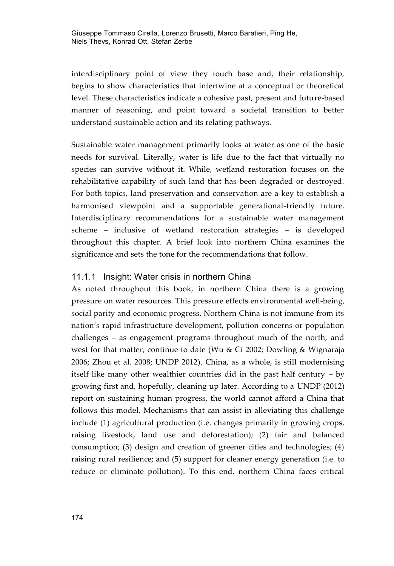interdisciplinary point of view they touch base and, their relationship, begins to show characteristics that intertwine at a conceptual or theoretical level. These characteristics indicate a cohesive past, present and future-based manner of reasoning, and point toward a societal transition to better understand sustainable action and its relating pathways.

Sustainable water management primarily looks at water as one of the basic needs for survival. Literally, water is life due to the fact that virtually no species can survive without it. While, wetland restoration focuses on the rehabilitative capability of such land that has been degraded or destroyed. For both topics, land preservation and conservation are a key to establish a harmonised viewpoint and a supportable generational-friendly future. Interdisciplinary recommendations for a sustainable water management scheme – inclusive of wetland restoration strategies – is developed throughout this chapter. A brief look into northern China examines the significance and sets the tone for the recommendations that follow.

### 11.1.1 Insight: Water crisis in northern China

As noted throughout this book, in northern China there is a growing pressure on water resources. This pressure effects environmental well-being, social parity and economic progress. Northern China is not immune from its nation's rapid infrastructure development, pollution concerns or population challenges – as engagement programs throughout much of the north, and west for that matter, continue to date (Wu & Ci 2002; Dowling & Wignaraja 2006; Zhou et al. 2008; UNDP 2012). China, as a whole, is still modernising itself like many other wealthier countries did in the past half century – by growing first and, hopefully, cleaning up later. According to a UNDP (2012) report on sustaining human progress, the world cannot afford a China that follows this model. Mechanisms that can assist in alleviating this challenge include (1) agricultural production (i.e. changes primarily in growing crops, raising livestock, land use and deforestation); (2) fair and balanced consumption; (3) design and creation of greener cities and technologies; (4) raising rural resilience; and (5) support for cleaner energy generation (i.e. to reduce or eliminate pollution). To this end, northern China faces critical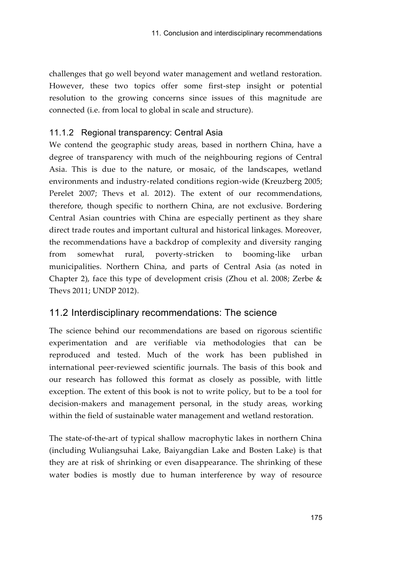challenges that go well beyond water management and wetland restoration. However, these two topics offer some first-step insight or potential resolution to the growing concerns since issues of this magnitude are connected (i.e. from local to global in scale and structure).

## 11.1.2 Regional transparency: Central Asia

We contend the geographic study areas, based in northern China, have a degree of transparency with much of the neighbouring regions of Central Asia. This is due to the nature, or mosaic, of the landscapes, wetland environments and industry-related conditions region-wide (Kreuzberg 2005; Perelet 2007; Thevs et al. 2012). The extent of our recommendations, therefore, though specific to northern China, are not exclusive. Bordering Central Asian countries with China are especially pertinent as they share direct trade routes and important cultural and historical linkages. Moreover, the recommendations have a backdrop of complexity and diversity ranging from somewhat rural, poverty-stricken to booming-like urban municipalities. Northern China, and parts of Central Asia (as noted in Chapter 2), face this type of development crisis (Zhou et al. 2008; Zerbe & Thevs 2011; UNDP 2012).

## 11.2 Interdisciplinary recommendations: The science

The science behind our recommendations are based on rigorous scientific experimentation and are verifiable via methodologies that can be reproduced and tested. Much of the work has been published in international peer-reviewed scientific journals. The basis of this book and our research has followed this format as closely as possible, with little exception. The extent of this book is not to write policy, but to be a tool for decision-makers and management personal, in the study areas, working within the field of sustainable water management and wetland restoration.

The state-of-the-art of typical shallow macrophytic lakes in northern China (including Wuliangsuhai Lake, Baiyangdian Lake and Bosten Lake) is that they are at risk of shrinking or even disappearance. The shrinking of these water bodies is mostly due to human interference by way of resource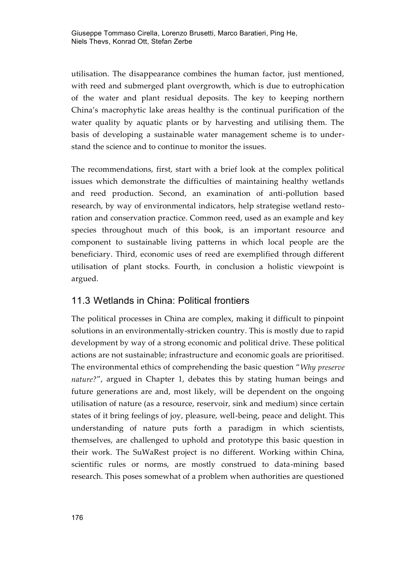utilisation. The disappearance combines the human factor, just mentioned, with reed and submerged plant overgrowth, which is due to eutrophication of the water and plant residual deposits. The key to keeping northern China's macrophytic lake areas healthy is the continual purification of the water quality by aquatic plants or by harvesting and utilising them. The basis of developing a sustainable water management scheme is to understand the science and to continue to monitor the issues.

The recommendations, first, start with a brief look at the complex political issues which demonstrate the difficulties of maintaining healthy wetlands and reed production. Second, an examination of anti-pollution based research, by way of environmental indicators, help strategise wetland restoration and conservation practice. Common reed, used as an example and key species throughout much of this book, is an important resource and component to sustainable living patterns in which local people are the beneficiary. Third, economic uses of reed are exemplified through different utilisation of plant stocks. Fourth, in conclusion a holistic viewpoint is argued.

## 11.3 Wetlands in China: Political frontiers

The political processes in China are complex, making it difficult to pinpoint solutions in an environmentally-stricken country. This is mostly due to rapid development by way of a strong economic and political drive. These political actions are not sustainable; infrastructure and economic goals are prioritised. The environmental ethics of comprehending the basic question "*Why preserve nature?*", argued in Chapter 1, debates this by stating human beings and future generations are and, most likely, will be dependent on the ongoing utilisation of nature (as a resource, reservoir, sink and medium) since certain states of it bring feelings of joy, pleasure, well-being, peace and delight. This understanding of nature puts forth a paradigm in which scientists, themselves, are challenged to uphold and prototype this basic question in their work. The SuWaRest project is no different. Working within China, scientific rules or norms, are mostly construed to data-mining based research. This poses somewhat of a problem when authorities are questioned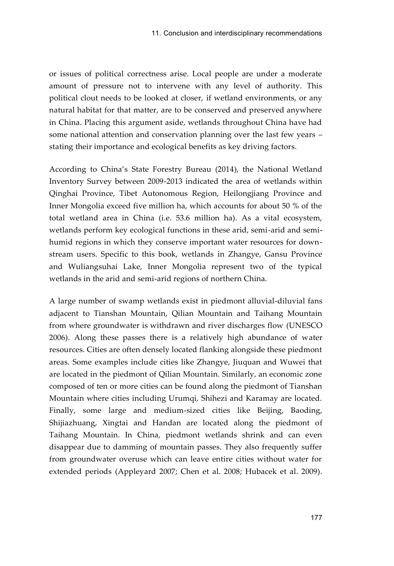or issues of political correctness arise. Local people are under a moderate amount of pressure not to intervene with any level of authority. This political clout needs to be looked at closer, if wetland environments, or any natural habitat for that matter, are to be conserved and preserved anywhere in China. Placing this argument aside, wetlands throughout China have had some national attention and conservation planning over the last few years – stating their importance and ecological benefits as key driving factors.

According to China's State Forestry Bureau (2014), the National Wetland Inventory Survey between 2009-2013 indicated the area of wetlands within Qinghai Province, Tibet Autonomous Region, Heilongjiang Province and Inner Mongolia exceed five million ha, which accounts for about 50 % of the total wetland area in China (i.e. 53.6 million ha). As a vital ecosystem, wetlands perform key ecological functions in these arid, semi-arid and semihumid regions in which they conserve important water resources for downstream users. Specific to this book, wetlands in Zhangye, Gansu Province and Wuliangsuhai Lake, Inner Mongolia represent two of the typical wetlands in the arid and semi-arid regions of northern China.

A large number of swamp wetlands exist in piedmont alluvial-diluvial fans adjacent to Tianshan Mountain, Qilian Mountain and Taihang Mountain from where groundwater is withdrawn and river discharges flow (UNESCO 2006). Along these passes there is a relatively high abundance of water resources. Cities are often densely located flanking alongside these piedmont areas. Some examples include cities like Zhangye, Jiuquan and Wuwei that are located in the piedmont of Qilian Mountain. Similarly, an economic zone composed of ten or more cities can be found along the piedmont of Tianshan Mountain where cities including Urumqi, Shihezi and Karamay are located. Finally, some large and medium-sized cities like Beijing, Baoding, Shijiazhuang, Xingtai and Handan are located along the piedmont of Taihang Mountain. In China, piedmont wetlands shrink and can even disappear due to damming of mountain passes. They also frequently suffer from groundwater overuse which can leave entire cities without water for extended periods (Appleyard 2007; Chen et al. 2008; Hubacek et al. 2009).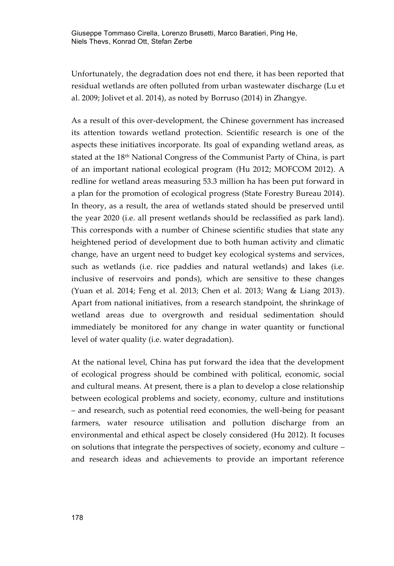Unfortunately, the degradation does not end there, it has been reported that residual wetlands are often polluted from urban wastewater discharge (Lu et al. 2009; Jolivet et al. 2014), as noted by Borruso (2014) in Zhangye.

As a result of this over-development, the Chinese government has increased its attention towards wetland protection. Scientific research is one of the aspects these initiatives incorporate. Its goal of expanding wetland areas, as stated at the 18th National Congress of the Communist Party of China, is part of an important national ecological program (Hu 2012; MOFCOM 2012). A redline for wetland areas measuring 53.3 million ha has been put forward in a plan for the promotion of ecological progress (State Forestry Bureau 2014). In theory, as a result, the area of wetlands stated should be preserved until the year 2020 (i.e. all present wetlands should be reclassified as park land). This corresponds with a number of Chinese scientific studies that state any heightened period of development due to both human activity and climatic change, have an urgent need to budget key ecological systems and services, such as wetlands (i.e. rice paddies and natural wetlands) and lakes (i.e. inclusive of reservoirs and ponds), which are sensitive to these changes (Yuan et al. 2014; Feng et al. 2013; Chen et al. 2013; Wang & Liang 2013). Apart from national initiatives, from a research standpoint, the shrinkage of wetland areas due to overgrowth and residual sedimentation should immediately be monitored for any change in water quantity or functional level of water quality (i.e. water degradation).

At the national level, China has put forward the idea that the development of ecological progress should be combined with political, economic, social and cultural means. At present, there is a plan to develop a close relationship between ecological problems and society, economy, culture and institutions – and research, such as potential reed economies, the well-being for peasant farmers, water resource utilisation and pollution discharge from an environmental and ethical aspect be closely considered (Hu 2012). It focuses on solutions that integrate the perspectives of society, economy and culture – and research ideas and achievements to provide an important reference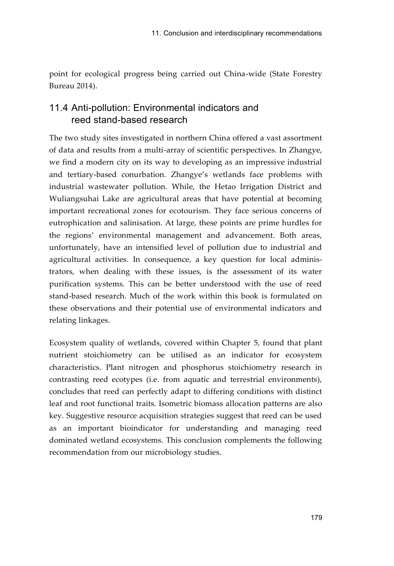point for ecological progress being carried out China-wide (State Forestry Bureau 2014).

## 11.4 Anti-pollution: Environmental indicators and reed stand-based research

The two study sites investigated in northern China offered a vast assortment of data and results from a multi-array of scientific perspectives. In Zhangye, we find a modern city on its way to developing as an impressive industrial and tertiary-based conurbation. Zhangye's wetlands face problems with industrial wastewater pollution. While, the Hetao Irrigation District and Wuliangsuhai Lake are agricultural areas that have potential at becoming important recreational zones for ecotourism. They face serious concerns of eutrophication and salinisation. At large, these points are prime hurdles for the regions' environmental management and advancement. Both areas, unfortunately, have an intensified level of pollution due to industrial and agricultural activities. In consequence, a key question for local administrators, when dealing with these issues, is the assessment of its water purification systems. This can be better understood with the use of reed stand-based research. Much of the work within this book is formulated on these observations and their potential use of environmental indicators and relating linkages.

Ecosystem quality of wetlands, covered within Chapter 5, found that plant nutrient stoichiometry can be utilised as an indicator for ecosystem characteristics. Plant nitrogen and phosphorus stoichiometry research in contrasting reed ecotypes (i.e. from aquatic and terrestrial environments), concludes that reed can perfectly adapt to differing conditions with distinct leaf and root functional traits. Isometric biomass allocation patterns are also key. Suggestive resource acquisition strategies suggest that reed can be used as an important bioindicator for understanding and managing reed dominated wetland ecosystems. This conclusion complements the following recommendation from our microbiology studies.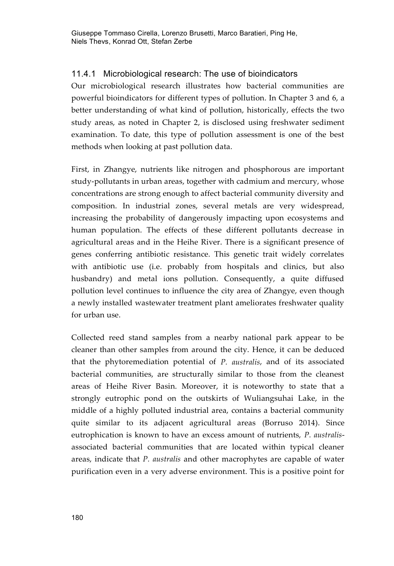### 11.4.1 Microbiological research: The use of bioindicators

Our microbiological research illustrates how bacterial communities are powerful bioindicators for different types of pollution. In Chapter 3 and 6, a better understanding of what kind of pollution, historically, effects the two study areas, as noted in Chapter 2, is disclosed using freshwater sediment examination. To date, this type of pollution assessment is one of the best methods when looking at past pollution data.

First, in Zhangye, nutrients like nitrogen and phosphorous are important study-pollutants in urban areas, together with cadmium and mercury, whose concentrations are strong enough to affect bacterial community diversity and composition. In industrial zones, several metals are very widespread, increasing the probability of dangerously impacting upon ecosystems and human population. The effects of these different pollutants decrease in agricultural areas and in the Heihe River. There is a significant presence of genes conferring antibiotic resistance. This genetic trait widely correlates with antibiotic use (i.e. probably from hospitals and clinics, but also husbandry) and metal ions pollution. Consequently, a quite diffused pollution level continues to influence the city area of Zhangye, even though a newly installed wastewater treatment plant ameliorates freshwater quality for urban use.

Collected reed stand samples from a nearby national park appear to be cleaner than other samples from around the city. Hence, it can be deduced that the phytoremediation potential of *P. australis*, and of its associated bacterial communities, are structurally similar to those from the cleanest areas of Heihe River Basin. Moreover, it is noteworthy to state that a strongly eutrophic pond on the outskirts of Wuliangsuhai Lake, in the middle of a highly polluted industrial area, contains a bacterial community quite similar to its adjacent agricultural areas (Borruso 2014). Since eutrophication is known to have an excess amount of nutrients, *P. australis*associated bacterial communities that are located within typical cleaner areas, indicate that *P. australis* and other macrophytes are capable of water purification even in a very adverse environment. This is a positive point for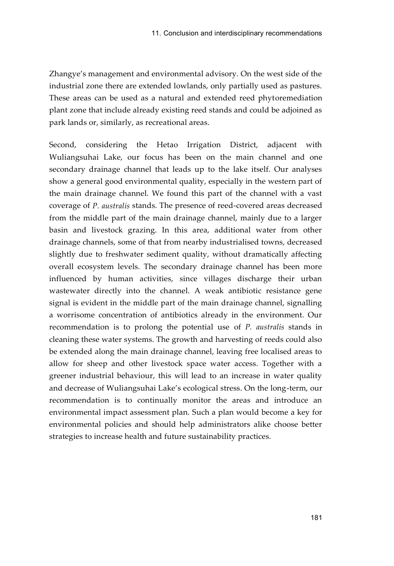Zhangye's management and environmental advisory. On the west side of the industrial zone there are extended lowlands, only partially used as pastures. These areas can be used as a natural and extended reed phytoremediation plant zone that include already existing reed stands and could be adjoined as park lands or, similarly, as recreational areas.

Second, considering the Hetao Irrigation District, adjacent with Wuliangsuhai Lake, our focus has been on the main channel and one secondary drainage channel that leads up to the lake itself. Our analyses show a general good environmental quality, especially in the western part of the main drainage channel. We found this part of the channel with a vast coverage of *P. australis* stands. The presence of reed-covered areas decreased from the middle part of the main drainage channel, mainly due to a larger basin and livestock grazing. In this area, additional water from other drainage channels, some of that from nearby industrialised towns, decreased slightly due to freshwater sediment quality, without dramatically affecting overall ecosystem levels. The secondary drainage channel has been more influenced by human activities, since villages discharge their urban wastewater directly into the channel. A weak antibiotic resistance gene signal is evident in the middle part of the main drainage channel, signalling a worrisome concentration of antibiotics already in the environment. Our recommendation is to prolong the potential use of *P. australis* stands in cleaning these water systems. The growth and harvesting of reeds could also be extended along the main drainage channel, leaving free localised areas to allow for sheep and other livestock space water access. Together with a greener industrial behaviour, this will lead to an increase in water quality and decrease of Wuliangsuhai Lake's ecological stress. On the long-term, our recommendation is to continually monitor the areas and introduce an environmental impact assessment plan. Such a plan would become a key for environmental policies and should help administrators alike choose better strategies to increase health and future sustainability practices.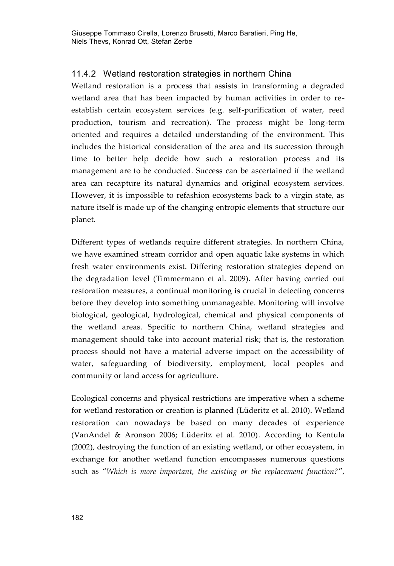#### 11.4.2 Wetland restoration strategies in northern China

Wetland restoration is a process that assists in transforming a degraded wetland area that has been impacted by human activities in order to reestablish certain ecosystem services (e.g. self-purification of water, reed production, tourism and recreation). The process might be long-term oriented and requires a detailed understanding of the environment. This includes the historical consideration of the area and its succession through time to better help decide how such a restoration process and its management are to be conducted. Success can be ascertained if the wetland area can recapture its natural dynamics and original ecosystem services. However, it is impossible to refashion ecosystems back to a virgin state, as nature itself is made up of the changing entropic elements that structure our planet.

Different types of wetlands require different strategies. In northern China, we have examined stream corridor and open aquatic lake systems in which fresh water environments exist. Differing restoration strategies depend on the degradation level (Timmermann et al. 2009). After having carried out restoration measures, a continual monitoring is crucial in detecting concerns before they develop into something unmanageable. Monitoring will involve biological, geological, hydrological, chemical and physical components of the wetland areas. Specific to northern China, wetland strategies and management should take into account material risk; that is, the restoration process should not have a material adverse impact on the accessibility of water, safeguarding of biodiversity, employment, local peoples and community or land access for agriculture.

Ecological concerns and physical restrictions are imperative when a scheme for wetland restoration or creation is planned (Lüderitz et al. 2010). Wetland restoration can nowadays be based on many decades of experience (VanAndel & Aronson 2006; Lüderitz et al. 2010). According to Kentula (2002), destroying the function of an existing wetland, or other ecosystem, in exchange for another wetland function encompasses numerous questions such as "*Which is more important, the existing or the replacement function?*",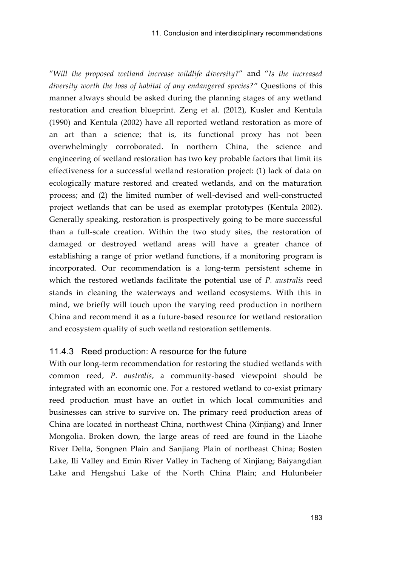"*Will the proposed wetland increase wildlife diversity?*" and "*Is the increased diversity worth the loss of habitat of any endangered species?*" Questions of this manner always should be asked during the planning stages of any wetland restoration and creation blueprint. Zeng et al. (2012), Kusler and Kentula (1990) and Kentula (2002) have all reported wetland restoration as more of an art than a science; that is, its functional proxy has not been overwhelmingly corroborated. In northern China, the science and engineering of wetland restoration has two key probable factors that limit its effectiveness for a successful wetland restoration project: (1) lack of data on ecologically mature restored and created wetlands, and on the maturation process; and (2) the limited number of well-devised and well-constructed project wetlands that can be used as exemplar prototypes (Kentula 2002). Generally speaking, restoration is prospectively going to be more successful than a full-scale creation. Within the two study sites, the restoration of damaged or destroyed wetland areas will have a greater chance of establishing a range of prior wetland functions, if a monitoring program is incorporated. Our recommendation is a long-term persistent scheme in which the restored wetlands facilitate the potential use of *P. australis* reed stands in cleaning the waterways and wetland ecosystems. With this in mind, we briefly will touch upon the varying reed production in northern China and recommend it as a future-based resource for wetland restoration and ecosystem quality of such wetland restoration settlements.

#### 11.4.3 Reed production: A resource for the future

With our long-term recommendation for restoring the studied wetlands with common reed, *P. australis*, a community-based viewpoint should be integrated with an economic one. For a restored wetland to co-exist primary reed production must have an outlet in which local communities and businesses can strive to survive on. The primary reed production areas of China are located in northeast China, northwest China (Xinjiang) and Inner Mongolia. Broken down, the large areas of reed are found in the Liaohe River Delta, Songnen Plain and Sanjiang Plain of northeast China; Bosten Lake, Ili Valley and Emin River Valley in Tacheng of Xinjiang; Baiyangdian Lake and Hengshui Lake of the North China Plain; and Hulunbeier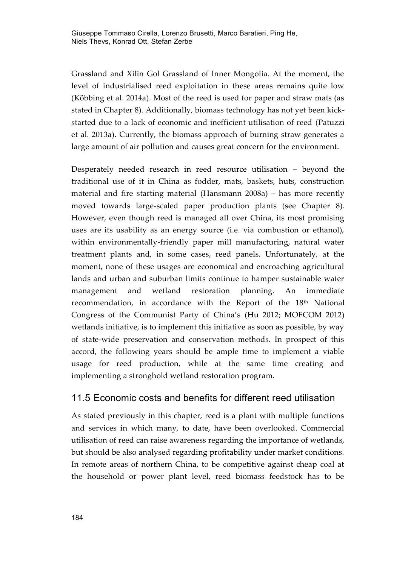Grassland and Xilin Gol Grassland of Inner Mongolia. At the moment, the level of industrialised reed exploitation in these areas remains quite low (Köbbing et al. 2014a). Most of the reed is used for paper and straw mats (as stated in Chapter 8). Additionally, biomass technology has not yet been kickstarted due to a lack of economic and inefficient utilisation of reed (Patuzzi et al. 2013a). Currently, the biomass approach of burning straw generates a large amount of air pollution and causes great concern for the environment.

Desperately needed research in reed resource utilisation – beyond the traditional use of it in China as fodder, mats, baskets, huts, construction material and fire starting material (Hansmann 2008a) – has more recently moved towards large-scaled paper production plants (see Chapter 8). However, even though reed is managed all over China, its most promising uses are its usability as an energy source (i.e. via combustion or ethanol), within environmentally-friendly paper mill manufacturing, natural water treatment plants and, in some cases, reed panels. Unfortunately, at the moment, none of these usages are economical and encroaching agricultural lands and urban and suburban limits continue to hamper sustainable water management and wetland restoration planning. An immediate recommendation, in accordance with the Report of the 18<sup>th</sup> National Congress of the Communist Party of China's (Hu 2012; MOFCOM 2012) wetlands initiative, is to implement this initiative as soon as possible, by way of state-wide preservation and conservation methods. In prospect of this accord, the following years should be ample time to implement a viable usage for reed production, while at the same time creating and implementing a stronghold wetland restoration program.

## 11.5 Economic costs and benefits for different reed utilisation

As stated previously in this chapter, reed is a plant with multiple functions and services in which many, to date, have been overlooked. Commercial utilisation of reed can raise awareness regarding the importance of wetlands, but should be also analysed regarding profitability under market conditions. In remote areas of northern China, to be competitive against cheap coal at the household or power plant level, reed biomass feedstock has to be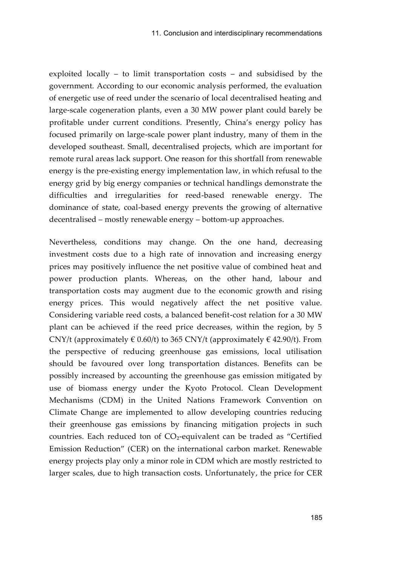exploited locally – to limit transportation costs – and subsidised by the government. According to our economic analysis performed, the evaluation of energetic use of reed under the scenario of local decentralised heating and large-scale cogeneration plants, even a 30 MW power plant could barely be profitable under current conditions. Presently, China's energy policy has focused primarily on large-scale power plant industry, many of them in the developed southeast. Small, decentralised projects, which are important for remote rural areas lack support. One reason for this shortfall from renewable energy is the pre-existing energy implementation law, in which refusal to the energy grid by big energy companies or technical handlings demonstrate the difficulties and irregularities for reed-based renewable energy. The dominance of state, coal-based energy prevents the growing of alternative decentralised – mostly renewable energy – bottom-up approaches.

Nevertheless, conditions may change. On the one hand, decreasing investment costs due to a high rate of innovation and increasing energy prices may positively influence the net positive value of combined heat and power production plants. Whereas, on the other hand, labour and transportation costs may augment due to the economic growth and rising energy prices. This would negatively affect the net positive value. Considering variable reed costs, a balanced benefit-cost relation for a 30 MW plant can be achieved if the reed price decreases, within the region, by 5 CNY/t (approximately  $\in 0.60$ /t) to 365 CNY/t (approximately  $\in 42.90$ /t). From the perspective of reducing greenhouse gas emissions, local utilisation should be favoured over long transportation distances. Benefits can be possibly increased by accounting the greenhouse gas emission mitigated by use of biomass energy under the Kyoto Protocol. Clean Development Mechanisms (CDM) in the United Nations Framework Convention on Climate Change are implemented to allow developing countries reducing their greenhouse gas emissions by financing mitigation projects in such countries. Each reduced ton of CO₂-equivalent can be traded as "Certified Emission Reduction" (CER) on the international carbon market. Renewable energy projects play only a minor role in CDM which are mostly restricted to larger scales, due to high transaction costs. Unfortunately, the price for CER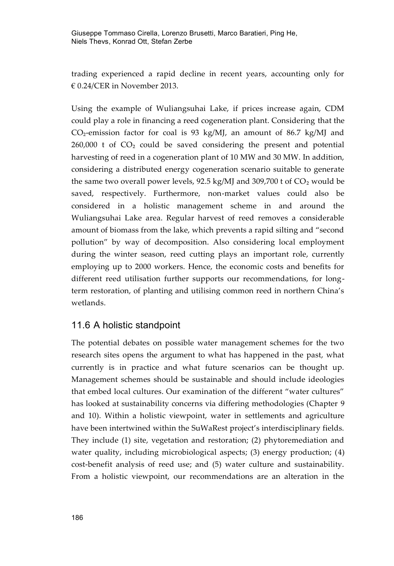trading experienced a rapid decline in recent years, accounting only for € 0.24/CER in November 2013.

Using the example of Wuliangsuhai Lake, if prices increase again, CDM could play a role in financing a reed cogeneration plant. Considering that the  $CO<sub>2</sub>$ -emission factor for coal is 93 kg/MJ, an amount of 86.7 kg/MJ and  $260,000$  t of  $CO<sub>2</sub>$  could be saved considering the present and potential harvesting of reed in a cogeneration plant of 10 MW and 30 MW. In addition, considering a distributed energy cogeneration scenario suitable to generate the same two overall power levels,  $92.5 \text{ kg/M}$  and  $309,700$  t of  $CO_2$  would be saved, respectively. Furthermore, non-market values could also be considered in a holistic management scheme in and around the Wuliangsuhai Lake area. Regular harvest of reed removes a considerable amount of biomass from the lake, which prevents a rapid silting and "second pollution" by way of decomposition. Also considering local employment during the winter season, reed cutting plays an important role, currently employing up to 2000 workers. Hence, the economic costs and benefits for different reed utilisation further supports our recommendations, for longterm restoration, of planting and utilising common reed in northern China's wetlands.

### 11.6 A holistic standpoint

The potential debates on possible water management schemes for the two research sites opens the argument to what has happened in the past, what currently is in practice and what future scenarios can be thought up. Management schemes should be sustainable and should include ideologies that embed local cultures. Our examination of the different "water cultures" has looked at sustainability concerns via differing methodologies (Chapter 9 and 10). Within a holistic viewpoint, water in settlements and agriculture have been intertwined within the SuWaRest project's interdisciplinary fields. They include (1) site, vegetation and restoration; (2) phytoremediation and water quality, including microbiological aspects; (3) energy production; (4) cost-benefit analysis of reed use; and (5) water culture and sustainability. From a holistic viewpoint, our recommendations are an alteration in the